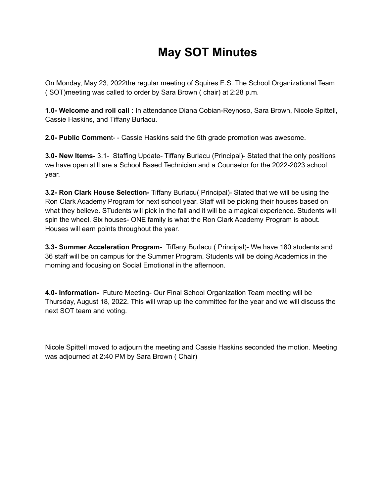## **May SOT Minutes**

On Monday, May 23, 2022the regular meeting of Squires E.S. The School Organizational Team ( SOT)meeting was called to order by Sara Brown ( chair) at 2:28 p.m.

**1.0- Welcome and roll call :** In attendance Diana Cobian-Reynoso, Sara Brown, Nicole Spittell, Cassie Haskins, and Tiffany Burlacu.

**2.0- Public Commen**t- - Cassie Haskins said the 5th grade promotion was awesome.

**3.0- New Items-** 3.1- Staffing Update- Tiffany Burlacu (Principal)- Stated that the only positions we have open still are a School Based Technician and a Counselor for the 2022-2023 school year.

**3.2- Ron Clark House Selection-** Tiffany Burlacu( Principal)- Stated that we will be using the Ron Clark Academy Program for next school year. Staff will be picking their houses based on what they believe. STudents will pick in the fall and it will be a magical experience. Students will spin the wheel. Six houses- ONE family is what the Ron Clark Academy Program is about. Houses will earn points throughout the year.

**3.3- Summer Acceleration Program-** Tiffany Burlacu ( Principal)- We have 180 students and 36 staff will be on campus for the Summer Program. Students will be doing Academics in the morning and focusing on Social Emotional in the afternoon.

**4.0- Information-** Future Meeting- Our Final School Organization Team meeting will be Thursday, August 18, 2022. This will wrap up the committee for the year and we will discuss the next SOT team and voting.

Nicole Spittell moved to adjourn the meeting and Cassie Haskins seconded the motion. Meeting was adjourned at 2:40 PM by Sara Brown ( Chair)